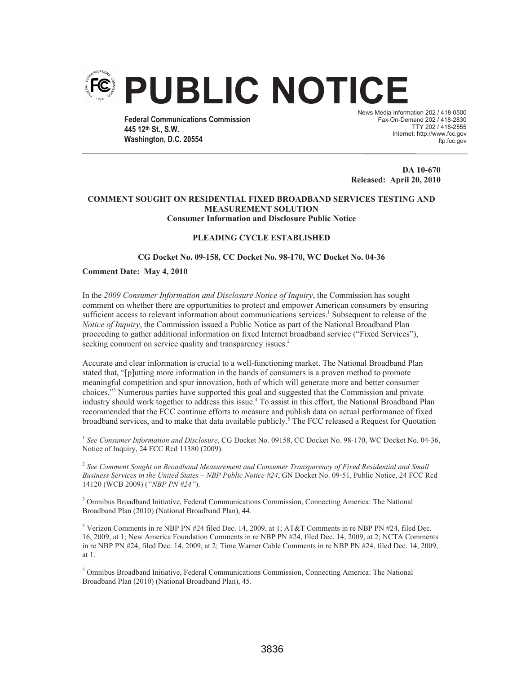

**Federal Communications Commission 445 12th St., S.W. Washington, D.C. 20554**

News Media Information 202 / 418-0500 Fax-On-Demand 202 / 418-2830 TTY 202 / 418-2555 Internet: http://www.fcc.gov ftp.fcc.gov

**DA 10-670 Released: April 20, 2010**

# **COMMENT SOUGHT ON RESIDENTIAL FIXED BROADBAND SERVICES TESTING AND MEASUREMENT SOLUTION Consumer Information and Disclosure Public Notice**

# **PLEADING CYCLE ESTABLISHED**

## **CG Docket No. 09-158, CC Docket No. 98-170, WC Docket No. 04-36**

## **Comment Date: May 4, 2010**

In the *2009 Consumer Information and Disclosure Notice of Inquiry*, the Commission has sought comment on whether there are opportunities to protect and empower American consumers by ensuring sufficient access to relevant information about communications services.<sup>1</sup> Subsequent to release of the *Notice of Inquiry*, the Commission issued a Public Notice as part of the National Broadband Plan proceeding to gather additional information on fixed Internet broadband service ("Fixed Services"), seeking comment on service quality and transparency issues.<sup>2</sup>

Accurate and clear information is crucial to a well-functioning market. The National Broadband Plan stated that, "[p]utting more information in the hands of consumers is a proven method to promote meaningful competition and spur innovation, both of which will generate more and better consumer choices."<sup>3</sup> Numerous parties have supported this goal and suggested that the Commission and private industry should work together to address this issue.<sup>4</sup> To assist in this effort, the National Broadband Plan recommended that the FCC continue efforts to measure and publish data on actual performance of fixed broadband services, and to make that data available publicly.<sup>5</sup> The FCC released a Request for Quotation

<sup>2</sup> See Comment Sought on Broadband Measurement and Consumer Transparency of Fixed Residential and Small *Business Services in the United States – NBP Public Notice #24*, GN Docket No. 09-51, Public Notice, 24 FCC Rcd 14120 (WCB 2009) (*"NBP PN #24"*).

<sup>3</sup> Omnibus Broadband Initiative, Federal Communications Commission, Connecting America: The National Broadband Plan (2010) (National Broadband Plan), 44.

<sup>4</sup> Verizon Comments in re NBP PN #24 filed Dec. 14, 2009, at 1; AT&T Comments in re NBP PN #24, filed Dec. 16, 2009, at 1; New America Foundation Comments in re NBP PN #24, filed Dec. 14, 2009, at 2; NCTA Comments in re NBP PN #24, filed Dec. 14, 2009, at 2; Time Warner Cable Comments in re NBP PN #24, filed Dec. 14, 2009, at 1.

<sup>5</sup> Omnibus Broadband Initiative, Federal Communications Commission, Connecting America: The National Broadband Plan (2010) (National Broadband Plan), 45.

<sup>&</sup>lt;sup>1</sup> See Consumer Information and Disclosure, CG Docket No. 09158, CC Docket No. 98-170, WC Docket No. 04-36, Notice of Inquiry, 24 FCC Rcd 11380 (2009).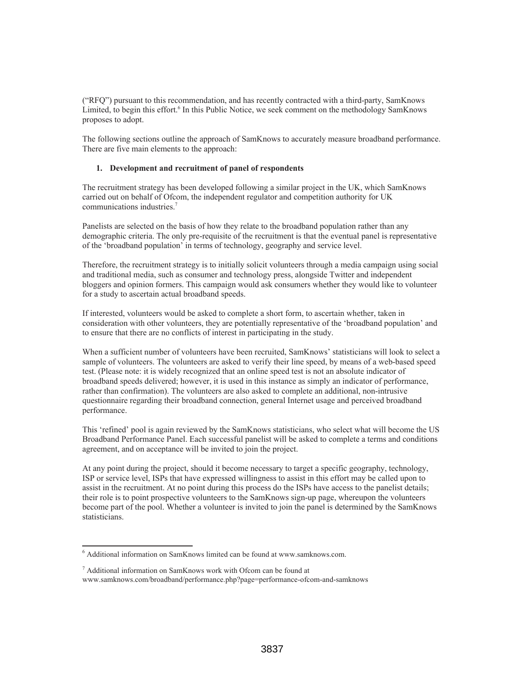("RFQ") pursuant to this recommendation, and has recently contracted with a third-party, SamKnows Limited, to begin this effort.<sup>6</sup> In this Public Notice, we seek comment on the methodology SamKnows proposes to adopt.

The following sections outline the approach of SamKnows to accurately measure broadband performance. There are five main elements to the approach:

# **1. Development and recruitment of panel of respondents**

The recruitment strategy has been developed following a similar project in the UK, which SamKnows carried out on behalf of Ofcom, the independent regulator and competition authority for UK communications industries.<sup>7</sup>

Panelists are selected on the basis of how they relate to the broadband population rather than any demographic criteria. The only pre-requisite of the recruitment is that the eventual panel is representative of the 'broadband population' in terms of technology, geography and service level.

Therefore, the recruitment strategy is to initially solicit volunteers through a media campaign using social and traditional media, such as consumer and technology press, alongside Twitter and independent bloggers and opinion formers. This campaign would ask consumers whether they would like to volunteer for a study to ascertain actual broadband speeds.

If interested, volunteers would be asked to complete a short form, to ascertain whether, taken in consideration with other volunteers, they are potentially representative of the 'broadband population' and to ensure that there are no conflicts of interest in participating in the study.

When a sufficient number of volunteers have been recruited, SamKnows' statisticians will look to select a sample of volunteers. The volunteers are asked to verify their line speed, by means of a web-based speed test. (Please note: it is widely recognized that an online speed test is not an absolute indicator of broadband speeds delivered; however, it is used in this instance as simply an indicator of performance, rather than confirmation). The volunteers are also asked to complete an additional, non-intrusive questionnaire regarding their broadband connection, general Internet usage and perceived broadband performance.

This 'refined' pool is again reviewed by the SamKnows statisticians, who select what will become the US Broadband Performance Panel. Each successful panelist will be asked to complete a terms and conditions agreement, and on acceptance will be invited to join the project.

At any point during the project, should it become necessary to target a specific geography, technology, ISP or service level, ISPs that have expressed willingness to assist in this effort may be called upon to assist in the recruitment. At no point during this process do the ISPs have access to the panelist details; their role is to point prospective volunteers to the SamKnows sign-up page, whereupon the volunteers become part of the pool. Whether a volunteer is invited to join the panel is determined by the SamKnows statisticians.

<sup>6</sup> Additional information on SamKnows limited can be found at www.samknows.com.

 $<sup>7</sup>$  Additional information on SamKnows work with Ofcom can be found at</sup> www.samknows.com/broadband/performance.php?page=performance-ofcom-and-samknows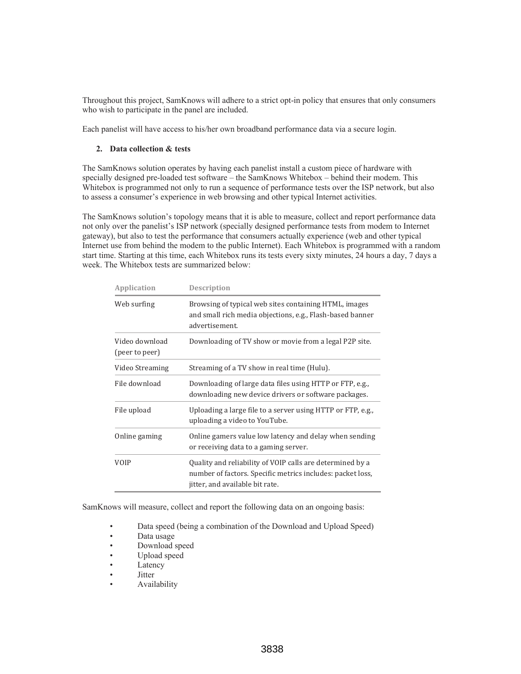Throughout this project, SamKnows will adhere to a strict opt-in policy that ensures that only consumers who wish to participate in the panel are included.

Each panelist will have access to his/her own broadband performance data via a secure login.

# **2. Data collection & tests**

The SamKnows solution operates by having each panelist install a custom piece of hardware with specially designed pre-loaded test software – the SamKnows Whitebox – behind their modem. This Whitebox is programmed not only to run a sequence of performance tests over the ISP network, but also to assess a consumer's experience in web browsing and other typical Internet activities.

The SamKnows solution's topology means that it is able to measure, collect and report performance data not only over the panelist's ISP network (specially designed performance tests from modem to Internet gateway), but also to test the performance that consumers actually experience (web and other typical Internet use from behind the modem to the public Internet). Each Whitebox is programmed with a random start time. Starting at this time, each Whitebox runs its tests every sixty minutes, 24 hours a day, 7 days a week. The Whitebox tests are summarized below:

| Application                      | <b>Description</b>                                                                                                                                         |
|----------------------------------|------------------------------------------------------------------------------------------------------------------------------------------------------------|
| Web surfing                      | Browsing of typical web sites containing HTML, images<br>and small rich media objections, e.g., Flash-based banner<br>advertisement.                       |
| Video download<br>(peer to peer) | Downloading of TV show or movie from a legal P2P site.                                                                                                     |
| Video Streaming                  | Streaming of a TV show in real time (Hulu).                                                                                                                |
| File download                    | Downloading of large data files using HTTP or FTP, e.g.,<br>downloading new device drivers or software packages.                                           |
| File upload                      | Uploading a large file to a server using HTTP or FTP, e.g.,<br>uploading a video to YouTube.                                                               |
| Online gaming                    | Online gamers value low latency and delay when sending<br>or receiving data to a gaming server.                                                            |
| <b>VOIP</b>                      | Quality and reliability of VOIP calls are determined by a<br>number of factors. Specific metrics includes: packet loss,<br>jitter, and available bit rate. |

SamKnows will measure, collect and report the following data on an ongoing basis:

- Data speed (being a combination of the Download and Upload Speed)
- Data usage
- Download speed
- Upload speed
- Latency
- Jitter
- Availability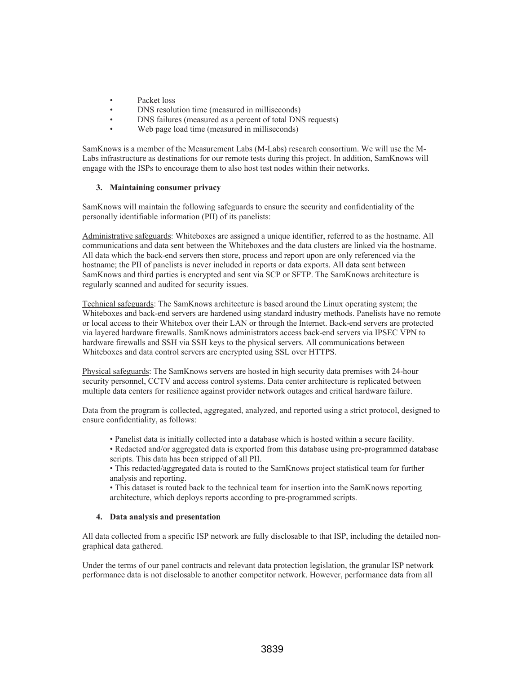- Packet loss
- DNS resolution time (measured in milliseconds)
- DNS failures (measured as a percent of total DNS requests)
- Web page load time (measured in milliseconds)

SamKnows is a member of the Measurement Labs (M-Labs) research consortium. We will use the M-Labs infrastructure as destinations for our remote tests during this project. In addition, SamKnows will engage with the ISPs to encourage them to also host test nodes within their networks.

# **3. Maintaining consumer privacy**

SamKnows will maintain the following safeguards to ensure the security and confidentiality of the personally identifiable information (PII) of its panelists:

Administrative safeguards: Whiteboxes are assigned a unique identifier, referred to as the hostname. All communications and data sent between the Whiteboxes and the data clusters are linked via the hostname. All data which the back-end servers then store, process and report upon are only referenced via the hostname; the PII of panelists is never included in reports or data exports. All data sent between SamKnows and third parties is encrypted and sent via SCP or SFTP. The SamKnows architecture is regularly scanned and audited for security issues.

Technical safeguards: The SamKnows architecture is based around the Linux operating system; the Whiteboxes and back-end servers are hardened using standard industry methods. Panelists have no remote or local access to their Whitebox over their LAN or through the Internet. Back-end servers are protected via layered hardware firewalls. SamKnows administrators access back-end servers via IPSEC VPN to hardware firewalls and SSH via SSH keys to the physical servers. All communications between Whiteboxes and data control servers are encrypted using SSL over HTTPS.

Physical safeguards: The SamKnows servers are hosted in high security data premises with 24-hour security personnel, CCTV and access control systems. Data center architecture is replicated between multiple data centers for resilience against provider network outages and critical hardware failure.

Data from the program is collected, aggregated, analyzed, and reported using a strict protocol, designed to ensure confidentiality, as follows:

- Panelist data is initially collected into a database which is hosted within a secure facility.
- Redacted and/or aggregated data is exported from this database using pre-programmed database scripts. This data has been stripped of all PII.

• This redacted/aggregated data is routed to the SamKnows project statistical team for further analysis and reporting.

• This dataset is routed back to the technical team for insertion into the SamKnows reporting architecture, which deploys reports according to pre-programmed scripts.

## **4. Data analysis and presentation**

All data collected from a specific ISP network are fully disclosable to that ISP, including the detailed nongraphical data gathered.

Under the terms of our panel contracts and relevant data protection legislation, the granular ISP network performance data is not disclosable to another competitor network. However, performance data from all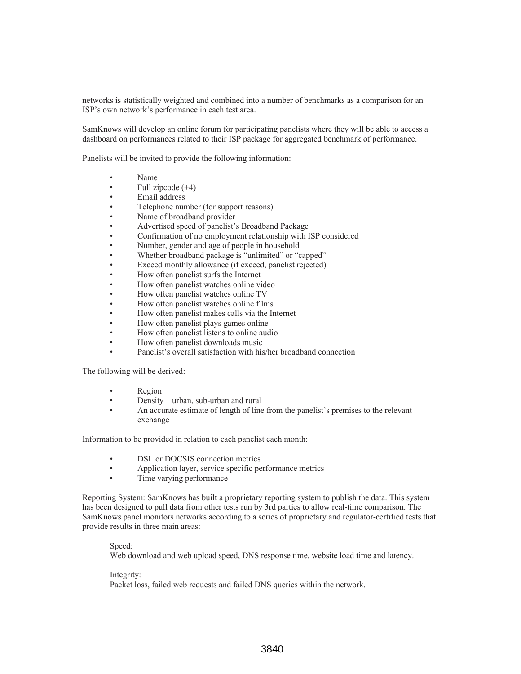networks is statistically weighted and combined into a number of benchmarks as a comparison for an ISP's own network's performance in each test area.

SamKnows will develop an online forum for participating panelists where they will be able to access a dashboard on performances related to their ISP package for aggregated benchmark of performance.

Panelists will be invited to provide the following information:

- Name
- Full zipcode  $(+4)$
- Email address
- Telephone number (for support reasons)
- Name of broadband provider
- Advertised speed of panelist's Broadband Package
- Confirmation of no employment relationship with ISP considered
- Number, gender and age of people in household
- Whether broadband package is "unlimited" or "capped"
- Exceed monthly allowance (if exceed, panelist rejected)
- How often panelist surfs the Internet
- How often panelist watches online video
- How often panelist watches online TV
- How often panelist watches online films
- How often panelist makes calls via the Internet
- How often panelist plays games online
- How often panelist listens to online audio
- How often panelist downloads music
- Panelist's overall satisfaction with his/her broadband connection

The following will be derived:

- Region
- Density urban, sub-urban and rural
- An accurate estimate of length of line from the panelist's premises to the relevant exchange

Information to be provided in relation to each panelist each month:

- DSL or DOCSIS connection metrics
- Application layer, service specific performance metrics
- Time varying performance

Reporting System: SamKnows has built a proprietary reporting system to publish the data. This system has been designed to pull data from other tests run by 3rd parties to allow real-time comparison. The SamKnows panel monitors networks according to a series of proprietary and regulator-certified tests that provide results in three main areas:

#### Speed:

Web download and web upload speed, DNS response time, website load time and latency.

#### Integrity:

Packet loss, failed web requests and failed DNS queries within the network.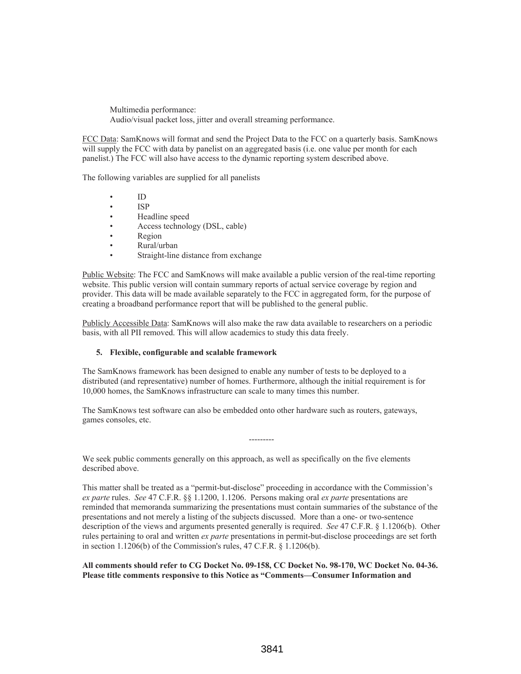Multimedia performance: Audio/visual packet loss, jitter and overall streaming performance.

FCC Data: SamKnows will format and send the Project Data to the FCC on a quarterly basis. SamKnows will supply the FCC with data by panelist on an aggregated basis (i.e. one value per month for each panelist.) The FCC will also have access to the dynamic reporting system described above.

The following variables are supplied for all panelists

- ID
- ISP
- Headline speed
- Access technology (DSL, cable)
- Region
- Rural/urban
- Straight-line distance from exchange

Public Website: The FCC and SamKnows will make available a public version of the real-time reporting website. This public version will contain summary reports of actual service coverage by region and provider. This data will be made available separately to the FCC in aggregated form, for the purpose of creating a broadband performance report that will be published to the general public.

Publicly Accessible Data: SamKnows will also make the raw data available to researchers on a periodic basis, with all PII removed. This will allow academics to study this data freely.

## **5. Flexible, configurable and scalable framework**

The SamKnows framework has been designed to enable any number of tests to be deployed to a distributed (and representative) number of homes. Furthermore, although the initial requirement is for 10,000 homes, the SamKnows infrastructure can scale to many times this number.

The SamKnows test software can also be embedded onto other hardware such as routers, gateways, games consoles, etc.

---------

We seek public comments generally on this approach, as well as specifically on the five elements described above.

This matter shall be treated as a "permit-but-disclose" proceeding in accordance with the Commission's *ex parte* rules. *See* 47 C.F.R. §§ 1.1200, 1.1206. Persons making oral *ex parte* presentations are reminded that memoranda summarizing the presentations must contain summaries of the substance of the presentations and not merely a listing of the subjects discussed. More than a one- or two-sentence description of the views and arguments presented generally is required. *See* 47 C.F.R. § 1.1206(b). Other rules pertaining to oral and written *ex parte* presentations in permit-but-disclose proceedings are set forth in section 1.1206(b) of the Commission's rules, 47 C.F.R. § 1.1206(b).

**All comments should refer to CG Docket No. 09-158, CC Docket No. 98-170, WC Docket No. 04-36. Please title comments responsive to this Notice as "Comments—Consumer Information and**